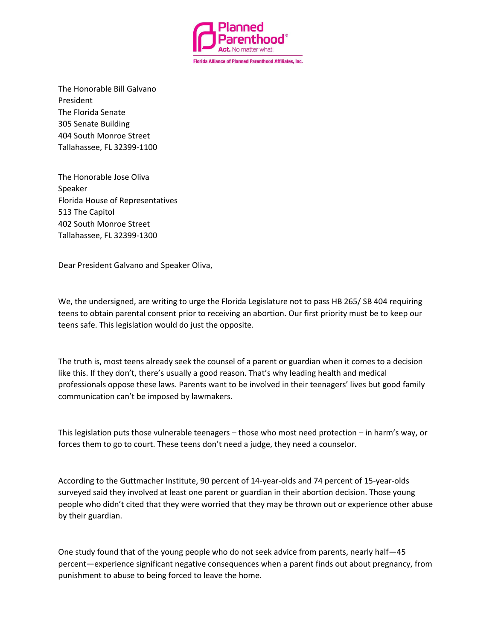

The Honorable Bill Galvano President The Florida Senate 305 Senate Building 404 South Monroe Street Tallahassee, FL 32399-1100

The Honorable Jose Oliva Speaker Florida House of Representatives 513 The Capitol 402 South Monroe Street Tallahassee, FL 32399-1300

Dear President Galvano and Speaker Oliva,

We, the undersigned, are writing to urge the Florida Legislature not to pass HB 265/ SB 404 requiring teens to obtain parental consent prior to receiving an abortion. Our first priority must be to keep our teens safe. This legislation would do just the opposite.

The truth is, most teens already seek the counsel of a parent or guardian when it comes to a decision like this. If they don't, there's usually a good reason. That's why leading health and medical professionals oppose these laws. Parents want to be involved in their teenagers' lives but good family communication can't be imposed by lawmakers.

This legislation puts those vulnerable teenagers – those who most need protection – in harm's way, or forces them to go to court. These teens don't need a judge, they need a counselor.

According to the Guttmacher Institute, 90 percent of 14-year-olds and 74 percent of 15-year-olds surveyed said they involved at least one parent or guardian in their abortion decision. Those young people who didn't cited that they were worried that they may be thrown out or experience other abuse by their guardian.

One study found that of the young people who do not seek advice from parents, nearly half—45 percent—experience significant negative consequences when a parent finds out about pregnancy, from punishment to abuse to being forced to leave the home.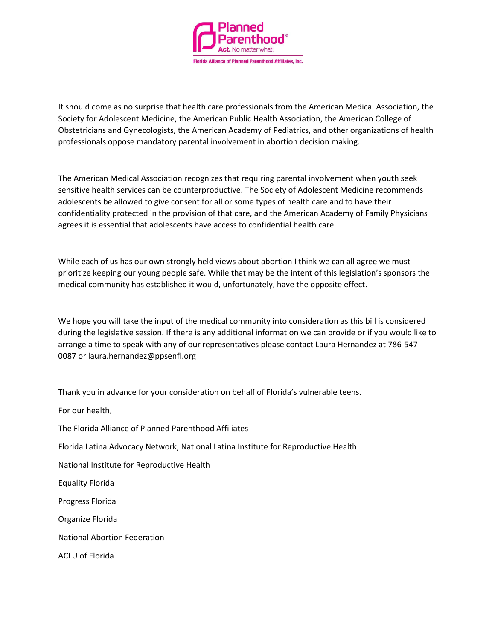

It should come as no surprise that health care professionals from the American Medical Association, the Society for Adolescent Medicine, the American Public Health Association, the American College of Obstetricians and Gynecologists, the American Academy of Pediatrics, and other organizations of health professionals oppose mandatory parental involvement in abortion decision making.

The American Medical Association recognizes that requiring parental involvement when youth seek sensitive health services can be counterproductive. The Society of Adolescent Medicine recommends adolescents be allowed to give consent for all or some types of health care and to have their confidentiality protected in the provision of that care, and the American Academy of Family Physicians agrees it is essential that adolescents have access to confidential health care.

While each of us has our own strongly held views about abortion I think we can all agree we must prioritize keeping our young people safe. While that may be the intent of this legislation's sponsors the medical community has established it would, unfortunately, have the opposite effect.

We hope you will take the input of the medical community into consideration as this bill is considered during the legislative session. If there is any additional information we can provide or if you would like to arrange a time to speak with any of our representatives please contact Laura Hernandez at 786-547- 0087 or laura.hernandez@ppsenfl.org

Thank you in advance for your consideration on behalf of Florida's vulnerable teens.

For our health,

The Florida Alliance of Planned Parenthood Affiliates

Florida Latina Advocacy Network, National Latina Institute for Reproductive Health

National Institute for Reproductive Health

Equality Florida

Progress Florida

Organize Florida

National Abortion Federation

ACLU of Florida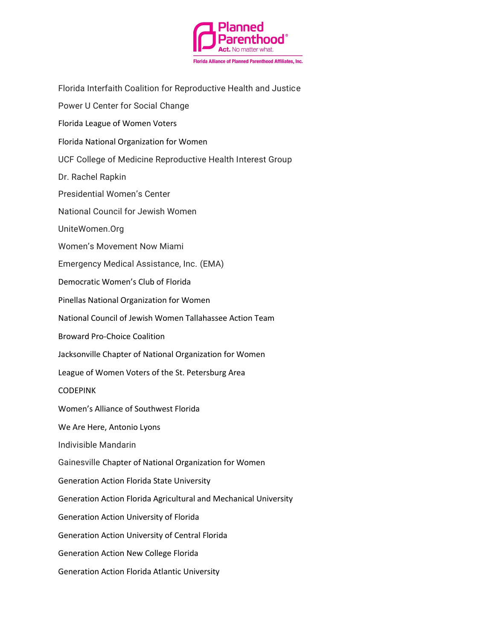

Florida Interfaith Coalition for Reproductive Health and Justice

Power U Center for Social Change

- Florida League of Women Voters
- Florida National Organization for Women
- UCF College of Medicine Reproductive Health Interest Group
- Dr. Rachel Rapkin
- Presidential Women's Center
- National Council for Jewish Women
- UniteWomen.Org
- Women's Movement Now Miami

Emergency Medical Assistance, Inc. (EMA)

- Democratic Women's Club of Florida
- Pinellas National Organization for Women
- National Council of Jewish Women Tallahassee Action Team
- Broward Pro-Choice Coalition
- Jacksonville Chapter of National Organization for Women
- League of Women Voters of the St. Petersburg Area
- CODEPINK
- Women's Alliance of Southwest Florida
- We Are Here, Antonio Lyons
- Indivisible Mandarin
- Gainesville Chapter of National Organization for Women
- Generation Action Florida State University
- Generation Action Florida Agricultural and Mechanical University
- Generation Action University of Florida
- Generation Action University of Central Florida
- Generation Action New College Florida
- Generation Action Florida Atlantic University